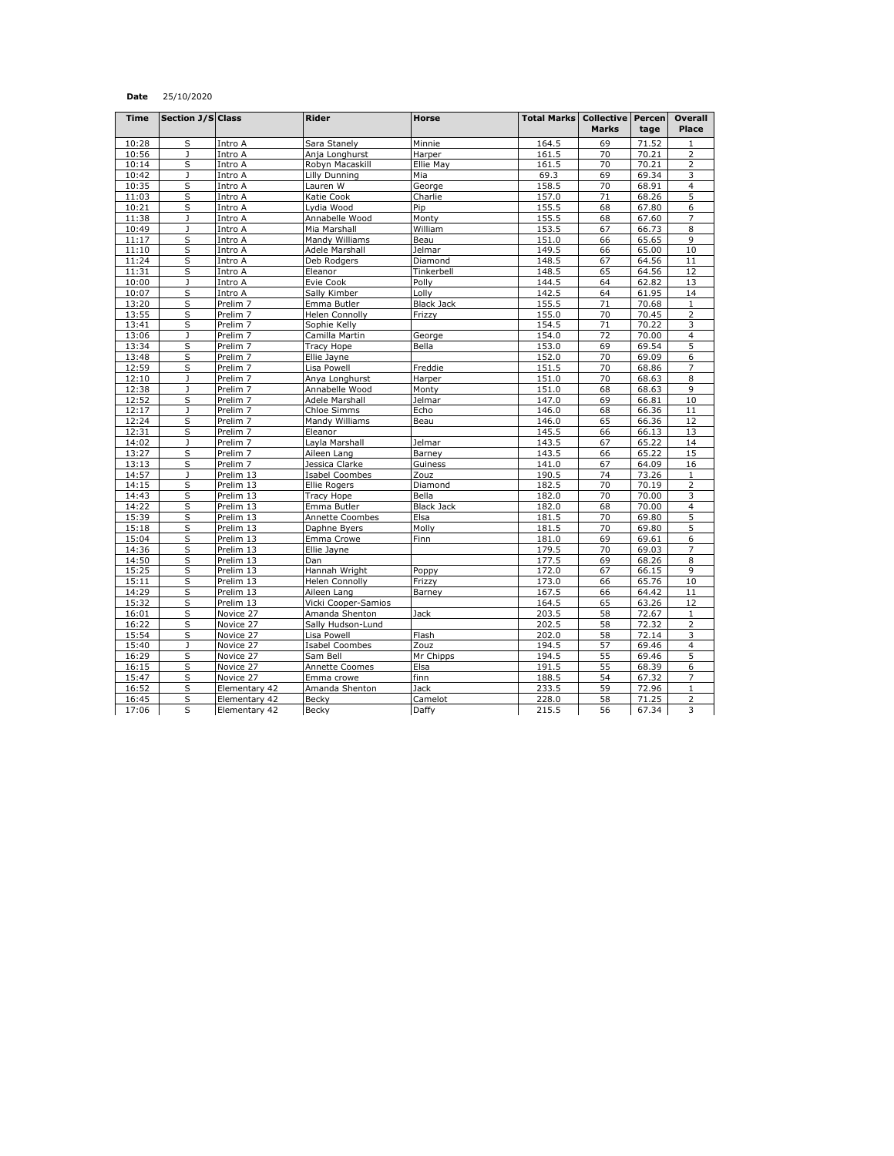## **Date** 25/10/2020

| <b>Time</b> | <b>Section J/S Class</b> |                     | Rider                 | Horse             | <b>Total Marks   Collective   Percen</b> |              |       | <b>Overall</b>          |
|-------------|--------------------------|---------------------|-----------------------|-------------------|------------------------------------------|--------------|-------|-------------------------|
|             |                          |                     |                       |                   |                                          | <b>Marks</b> | tage  | Place                   |
| 10:28       | S                        | Intro A             | Sara Stanely          | Minnie            | 164.5                                    | 69           | 71.52 | $\mathbf{1}$            |
| 10:56       | J                        | Intro A             | Anja Longhurst        | Harper            | 161.5                                    | 70           | 70.21 | $\overline{2}$          |
| 10:14       | S                        | Intro A             | Robyn Macaskill       | Ellie May         | 161.5                                    | 70           | 70.21 | $\overline{2}$          |
| 10:42       | J                        | Intro A             | Lilly Dunning         | Mia               | 69.3                                     | 69           | 69.34 | 3                       |
| 10:35       | S                        | Intro A             | Lauren W              | George            | 158.5                                    | 70           | 68.91 | $\overline{4}$          |
| 11:03       | S                        | Intro A             | Katie Cook            | Charlie           | 157.0                                    | 71           | 68.26 | 5                       |
| 10:21       | S                        | Intro A             | Lydia Wood            | Pip               | 155.5                                    | 68           | 67.80 | 6                       |
| 11:38       | J                        | Intro A             | Annabelle Wood        | Monty             | 155.5                                    | 68           | 67.60 | $\overline{7}$          |
| 10:49       | $\mathbf{J}$             | Intro A             | Mia Marshall          | William           | 153.5                                    | 67           | 66.73 | 8                       |
| 11:17       | S                        | Intro A             | Mandy Williams        | Beau              | 151.0                                    | 66           | 65.65 | 9                       |
| 11:10       | S                        | Intro A             | Adele Marshall        | Jelmar            | 149.5                                    | 66           | 65.00 | 10                      |
| 11:24       | $\overline{\mathsf{s}}$  | Intro A             | Deb Rodgers           | Diamond           | 148.5                                    | 67           | 64.56 | 11                      |
| 11:31       | S                        | Intro A             | Eleanor               | Tinkerbell        | 148.5                                    | 65           | 64.56 | 12                      |
| 10:00       | J                        | Intro A             | Evie Cook             | Polly             | 144.5                                    | 64           | 62.82 | 13                      |
| 10:07       | $\overline{\mathsf{s}}$  | Intro A             | Sally Kimber          | Lolly             | 142.5                                    | 64           | 61.95 | 14                      |
| 13:20       | S                        | Prelim <sub>7</sub> | Emma Butler           | <b>Black Jack</b> | 155.5                                    | 71           | 70.68 | $\mathbf{1}$            |
| 13:55       | S                        | Prelim <sub>7</sub> | <b>Helen Connolly</b> | Frizzy            | 155.0                                    | 70           | 70.45 | $\overline{2}$          |
| 13:41       | S                        | Prelim <sub>7</sub> | Sophie Kelly          |                   | 154.5                                    | 71           | 70.22 | 3                       |
| 13:06       | J                        | Prelim <sub>7</sub> | Camilla Martin        | George            | 154.0                                    | 72           | 70.00 | 4                       |
| 13:34       | S                        | Prelim <sub>7</sub> | <b>Tracy Hope</b>     | Bella             | 153.0                                    | 69           | 69.54 | $\overline{5}$          |
| 13:48       | S                        | Prelim <sub>7</sub> | Ellie Jayne           |                   | 152.0                                    | 70           | 69.09 | 6                       |
| 12:59       | S                        | Prelim <sub>7</sub> | Lisa Powell           | Freddie           | 151.5                                    | 70           | 68.86 | $\overline{7}$          |
| 12:10       | J                        | Prelim <sub>7</sub> | Anya Longhurst        | Harper            | 151.0                                    | 70           | 68.63 | 8                       |
| 12:38       | J                        | Prelim <sub>7</sub> | Annabelle Wood        | Monty             | 151.0                                    | 68           | 68.63 | 9                       |
| 12:52       | S                        | Prelim <sub>7</sub> | Adele Marshall        | Jelmar            | 147.0                                    | 69           | 66.81 | 10                      |
| 12:17       | J                        | Prelim <sub>7</sub> | Chloe Simms           | Echo              | 146.0                                    | 68           | 66.36 | 11                      |
| 12:24       | $\overline{\mathsf{s}}$  | Prelim <sub>7</sub> | Mandy Williams        | Beau              | 146.0                                    | 65           | 66.36 | 12                      |
| 12:31       | S                        | Prelim <sub>7</sub> | Eleanor               |                   | 145.5                                    | 66           | 66.13 | 13                      |
| 14:02       | J                        | Prelim <sub>7</sub> | Layla Marshall        | Jelmar            | 143.5                                    | 67           | 65.22 | 14                      |
| 13:27       | S                        | Prelim <sub>7</sub> | Aileen Lang           | Barney            | 143.5                                    | 66           | 65.22 | 15                      |
| 13:13       | S                        | Prelim <sub>7</sub> | Jessica Clarke        | Guiness           | 141.0                                    | 67           | 64.09 | 16                      |
| 14:57       | J                        | Prelim 13           | <b>Isabel Coombes</b> | Zouz              | 190.5                                    | 74           | 73.26 | 1                       |
| 14:15       | S                        | Prelim 13           | Ellie Rogers          | Diamond           | 182.5                                    | 70           | 70.19 | $\overline{2}$          |
| 14:43       | S                        | Prelim 13           | Tracy Hope            | Bella             | 182.0                                    | 70           | 70.00 | 3                       |
| 14:22       | S                        | Prelim 13           | Emma Butler           | <b>Black Jack</b> | 182.0                                    | 68           | 70.00 | $\overline{4}$          |
| 15:39       | S                        | Prelim 13           | Annette Coombes       | Elsa              | 181.5                                    | 70           | 69.80 | $\overline{5}$          |
| 15:18       | S                        | Prelim 13           | Daphne Byers          | Molly             | 181.5                                    | 70           | 69.80 | 5                       |
| 15:04       | S                        | Prelim 13           | Emma Crowe            | Finn              | 181.0                                    | 69           | 69.61 | 6                       |
| 14:36       | S                        | Prelim 13           | Ellie Jayne           |                   | 179.5                                    | 70           | 69.03 | $\overline{7}$          |
| 14:50       | $\overline{\mathsf{s}}$  | Prelim 13           | Dan                   |                   | 177.5                                    | 69           | 68.26 | 8                       |
| 15:25       | S                        | Prelim 13           | Hannah Wright         | Poppy             | 172.0                                    | 67           | 66.15 | 9                       |
| 15:11       | $\overline{\mathsf{s}}$  | Prelim 13           | <b>Helen Connolly</b> | Frizzy            | 173.0                                    | 66           | 65.76 | 10                      |
| 14:29       | S                        | Prelim 13           | Aileen Lang           | Barney            | 167.5                                    | 66           | 64.42 | 11                      |
| 15:32       | S                        | Prelim 13           | Vicki Cooper-Samios   |                   | 164.5                                    | 65           | 63.26 | 12                      |
| 16:01       | S                        | Novice 27           | Amanda Shenton        | Jack              | 203.5                                    | 58           | 72.67 | $\overline{1}$          |
| 16:22       | S                        | Novice 27           | Sally Hudson-Lund     |                   | 202.5                                    | 58           | 72.32 | $\overline{2}$          |
| 15:54       | S                        | Novice 27           | Lisa Powell           | Flash             | 202.0                                    | 58           | 72.14 | 3                       |
| 15:40       | J                        | Novice 27           | Isabel Coombes        | Zouz              | 194.5                                    | 57           | 69.46 | $\overline{\mathbf{4}}$ |
| 16:29       | $\overline{\mathsf{s}}$  | Novice 27           | Sam Bell              | Mr Chipps         | 194.5                                    | 55           | 69.46 | $\overline{5}$          |
| 16:15       | S                        | Novice 27           | Annette Coomes        | Elsa              | 191.5                                    | 55           | 68.39 | 6                       |
| 15:47       | S                        | Novice 27           | Emma crowe            | finn              | 188.5                                    | 54           | 67.32 | $\overline{7}$          |
| 16:52       | S                        | Elementary 42       | Amanda Shenton        | Jack              | 233.5                                    | 59           | 72.96 | $\mathbf{1}$            |
| 16:45       | S                        | Elementary 42       | Becky                 | Camelot           | 228.0                                    | 58           | 71.25 | 2                       |
| 17:06       | S                        | Elementary 42       | Becky                 | Daffy             | 215.5                                    | 56           | 67.34 | 3                       |